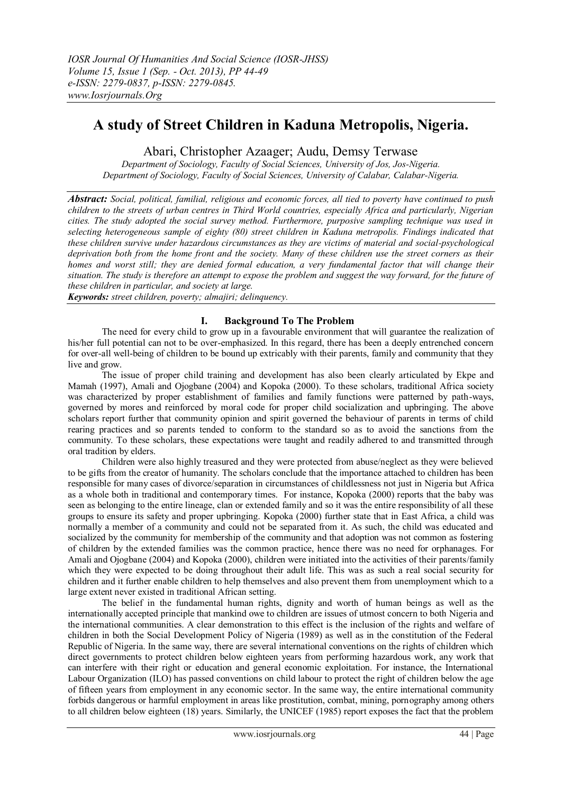# **A study of Street Children in Kaduna Metropolis, Nigeria.**

# Abari, Christopher Azaager; Audu, Demsy Terwase

*Department of Sociology, Faculty of Social Sciences, University of Jos, Jos-Nigeria. Department of Sociology, Faculty of Social Sciences, University of Calabar, Calabar-Nigeria.*

*Abstract: Social, political, familial, religious and economic forces, all tied to poverty have continued to push children to the streets of urban centres in Third World countries, especially Africa and particularly, Nigerian cities. The study adopted the social survey method. Furthermore, purposive sampling technique was used in selecting heterogeneous sample of eighty (80) street children in Kaduna metropolis. Findings indicated that these children survive under hazardous circumstances as they are victims of material and social-psychological deprivation both from the home front and the society. Many of these children use the street corners as their homes and worst still; they are denied formal education, a very fundamental factor that will change their situation. The study is therefore an attempt to expose the problem and suggest the way forward, for the future of these children in particular, and society at large.* 

*Keywords: street children, poverty; almajiri; delinquency.*

# **I. Background To The Problem**

The need for every child to grow up in a favourable environment that will guarantee the realization of his/her full potential can not to be over-emphasized. In this regard, there has been a deeply entrenched concern for over-all well-being of children to be bound up extricably with their parents, family and community that they live and grow.

The issue of proper child training and development has also been clearly articulated by Ekpe and Mamah (1997), Amali and Ojogbane (2004) and Kopoka (2000). To these scholars, traditional Africa society was characterized by proper establishment of families and family functions were patterned by path-ways, governed by mores and reinforced by moral code for proper child socialization and upbringing. The above scholars report further that community opinion and spirit governed the behaviour of parents in terms of child rearing practices and so parents tended to conform to the standard so as to avoid the sanctions from the community. To these scholars, these expectations were taught and readily adhered to and transmitted through oral tradition by elders.

Children were also highly treasured and they were protected from abuse/neglect as they were believed to be gifts from the creator of humanity. The scholars conclude that the importance attached to children has been responsible for many cases of divorce/separation in circumstances of childlessness not just in Nigeria but Africa as a whole both in traditional and contemporary times. For instance, Kopoka (2000) reports that the baby was seen as belonging to the entire lineage, clan or extended family and so it was the entire responsibility of all these groups to ensure its safety and proper upbringing. Kopoka (2000) further state that in East Africa, a child was normally a member of a community and could not be separated from it. As such, the child was educated and socialized by the community for membership of the community and that adoption was not common as fostering of children by the extended families was the common practice, hence there was no need for orphanages. For Amali and Ojogbane (2004) and Kopoka (2000), children were initiated into the activities of their parents/family which they were expected to be doing throughout their adult life. This was as such a real social security for children and it further enable children to help themselves and also prevent them from unemployment which to a large extent never existed in traditional African setting.

The belief in the fundamental human rights, dignity and worth of human beings as well as the internationally accepted principle that mankind owe to children are issues of utmost concern to both Nigeria and the international communities. A clear demonstration to this effect is the inclusion of the rights and welfare of children in both the Social Development Policy of Nigeria (1989) as well as in the constitution of the Federal Republic of Nigeria. In the same way, there are several international conventions on the rights of children which direct governments to protect children below eighteen years from performing hazardous work, any work that can interfere with their right or education and general economic exploitation. For instance, the International Labour Organization (ILO) has passed conventions on child labour to protect the right of children below the age of fifteen years from employment in any economic sector. In the same way, the entire international community forbids dangerous or harmful employment in areas like prostitution, combat, mining, pornography among others to all children below eighteen (18) years. Similarly, the UNICEF (1985) report exposes the fact that the problem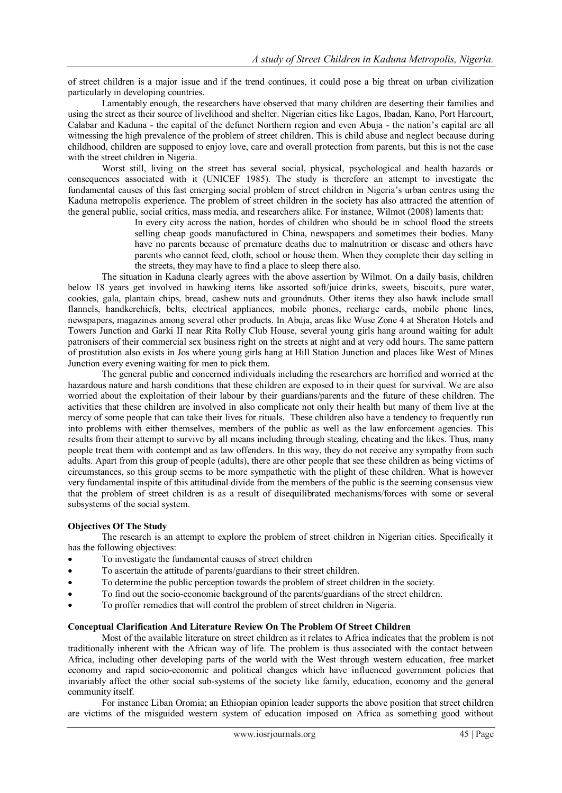of street children is a major issue and if the trend continues, it could pose a big threat on urban civilization particularly in developing countries.

Lamentably enough, the researchers have observed that many children are deserting their families and using the street as their source of livelihood and shelter. Nigerian cities like Lagos, Ibadan, Kano, Port Harcourt, Calabar and Kaduna - the capital of the defunct Northern region and even Abuja - the nation's capital are all witnessing the high prevalence of the problem of street children. This is child abuse and neglect because during childhood, children are supposed to enjoy love, care and overall protection from parents, but this is not the case with the street children in Nigeria.

Worst still, living on the street has several social, physical, psychological and health hazards or consequences associated with it (UNICEF 1985). The study is therefore an attempt to investigate the fundamental causes of this fast emerging social problem of street children in Nigeria's urban centres using the Kaduna metropolis experience. The problem of street children in the society has also attracted the attention of the general public, social critics, mass media, and researchers alike. For instance, Wilmot (2008) laments that:

In every city across the nation, hordes of children who should be in school flood the streets selling cheap goods manufactured in China, newspapers and sometimes their bodies. Many have no parents because of premature deaths due to malnutrition or disease and others have parents who cannot feed, cloth, school or house them. When they complete their day selling in the streets, they may have to find a place to sleep there also.

The situation in Kaduna clearly agrees with the above assertion by Wilmot. On a daily basis, children below 18 years get involved in hawking items like assorted soft/juice drinks, sweets, biscuits, pure water, cookies, gala, plantain chips, bread, cashew nuts and groundnuts. Other items they also hawk include small flannels, handkerchiefs, belts, electrical appliances, mobile phones, recharge cards, mobile phone lines, newspapers, magazines among several other products. In Abuja, areas like Wuse Zone 4 at Sheraton Hotels and Towers Junction and Garki II near Rita Rolly Club House, several young girls hang around waiting for adult patronisers of their commercial sex business right on the streets at night and at very odd hours. The same pattern of prostitution also exists in Jos where young girls hang at Hill Station Junction and places like West of Mines Junction every evening waiting for men to pick them.

The general public and concerned individuals including the researchers are horrified and worried at the hazardous nature and harsh conditions that these children are exposed to in their quest for survival. We are also worried about the exploitation of their labour by their guardians/parents and the future of these children. The activities that these children are involved in also complicate not only their health but many of them live at the mercy of some people that can take their lives for rituals. These children also have a tendency to frequently run into problems with either themselves, members of the public as well as the law enforcement agencies. This results from their attempt to survive by all means including through stealing, cheating and the likes. Thus, many people treat them with contempt and as law offenders. In this way, they do not receive any sympathy from such adults. Apart from this group of people (adults), there are other people that see these children as being victims of circumstances, so this group seems to be more sympathetic with the plight of these children. What is however very fundamental inspite of this attitudinal divide from the members of the public is the seeming consensus view that the problem of street children is as a result of disequilibrated mechanisms/forces with some or several subsystems of the social system.

### **Objectives Of The Study**

The research is an attempt to explore the problem of street children in Nigerian cities. Specifically it has the following objectives:

- To investigate the fundamental causes of street children
- To ascertain the attitude of parents/guardians to their street children.
- To determine the public perception towards the problem of street children in the society.
- To find out the socio-economic background of the parents/guardians of the street children.
- To proffer remedies that will control the problem of street children in Nigeria.

### **Conceptual Clarification And Literature Review On The Problem Of Street Children**

Most of the available literature on street children as it relates to Africa indicates that the problem is not traditionally inherent with the African way of life. The problem is thus associated with the contact between Africa, including other developing parts of the world with the West through western education, free market economy and rapid socio-economic and political changes which have influenced government policies that invariably affect the other social sub-systems of the society like family, education, economy and the general community itself.

For instance Liban Oromia; an Ethiopian opinion leader supports the above position that street children are victims of the misguided western system of education imposed on Africa as something good without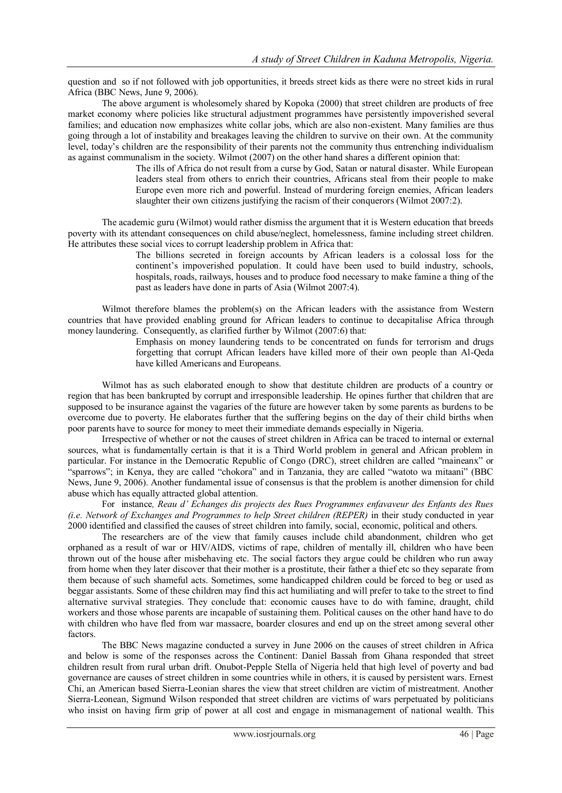question and so if not followed with job opportunities, it breeds street kids as there were no street kids in rural Africa (BBC News, June 9, 2006).

The above argument is wholesomely shared by Kopoka (2000) that street children are products of free market economy where policies like structural adjustment programmes have persistently impoverished several families; and education now emphasizes white collar jobs, which are also non-existent. Many families are thus going through a lot of instability and breakages leaving the children to survive on their own. At the community level, today's children are the responsibility of their parents not the community thus entrenching individualism as against communalism in the society. Wilmot (2007) on the other hand shares a different opinion that:

> The ills of Africa do not result from a curse by God, Satan or natural disaster. While European leaders steal from others to enrich their countries, Africans steal from their people to make Europe even more rich and powerful. Instead of murdering foreign enemies, African leaders slaughter their own citizens justifying the racism of their conquerors (Wilmot 2007:2).

The academic guru (Wilmot) would rather dismiss the argument that it is Western education that breeds poverty with its attendant consequences on child abuse/neglect, homelessness, famine including street children. He attributes these social vices to corrupt leadership problem in Africa that:

The billions secreted in foreign accounts by African leaders is a colossal loss for the continent's impoverished population. It could have been used to build industry, schools, hospitals, roads, railways, houses and to produce food necessary to make famine a thing of the past as leaders have done in parts of Asia (Wilmot 2007:4).

Wilmot therefore blames the problem(s) on the African leaders with the assistance from Western countries that have provided enabling ground for African leaders to continue to decapitalise Africa through money laundering. Consequently, as clarified further by Wilmot (2007:6) that:

Emphasis on money laundering tends to be concentrated on funds for terrorism and drugs forgetting that corrupt African leaders have killed more of their own people than Al-Qeda have killed Americans and Europeans.

Wilmot has as such elaborated enough to show that destitute children are products of a country or region that has been bankrupted by corrupt and irresponsible leadership. He opines further that children that are supposed to be insurance against the vagaries of the future are however taken by some parents as burdens to be overcome due to poverty. He elaborates further that the suffering begins on the day of their child births when poor parents have to source for money to meet their immediate demands especially in Nigeria.

Irrespective of whether or not the causes of street children in Africa can be traced to internal or external sources, what is fundamentally certain is that it is a Third World problem in general and African problem in particular. For instance in the Democratic Republic of Congo (DRC), street children are called "maineanx" or "sparrows"; in Kenya, they are called "chokora" and in Tanzania, they are called "watoto wa mitaani" (BBC News, June 9, 2006). Another fundamental issue of consensus is that the problem is another dimension for child abuse which has equally attracted global attention.

For instance*, Reau d' Echanges dis projects des Rues Programmes enfavaveur des Enfants des Rues (i.e. Network of Exchanges and Programmes to help Street children (REPER)* in their study conducted in year 2000 identified and classified the causes of street children into family, social, economic, political and others.

The researchers are of the view that family causes include child abandonment, children who get orphaned as a result of war or HIV/AIDS, victims of rape, children of mentally ill, children who have been thrown out of the house after misbehaving etc. The social factors they argue could be children who run away from home when they later discover that their mother is a prostitute, their father a thief etc so they separate from them because of such shameful acts. Sometimes, some handicapped children could be forced to beg or used as beggar assistants. Some of these children may find this act humiliating and will prefer to take to the street to find alternative survival strategies. They conclude that: economic causes have to do with famine, draught, child workers and those whose parents are incapable of sustaining them. Political causes on the other hand have to do with children who have fled from war massacre, boarder closures and end up on the street among several other factors.

The BBC News magazine conducted a survey in June 2006 on the causes of street children in Africa and below is some of the responses across the Continent: Daniel Bassah from Ghana responded that street children result from rural urban drift. Onubot-Pepple Stella of Nigeria held that high level of poverty and bad governance are causes of street children in some countries while in others, it is caused by persistent wars. Ernest Chi, an American based Sierra-Leonian shares the view that street children are victim of mistreatment. Another Sierra-Leonean, Sigmund Wilson responded that street children are victims of wars perpetuated by politicians who insist on having firm grip of power at all cost and engage in mismanagement of national wealth. This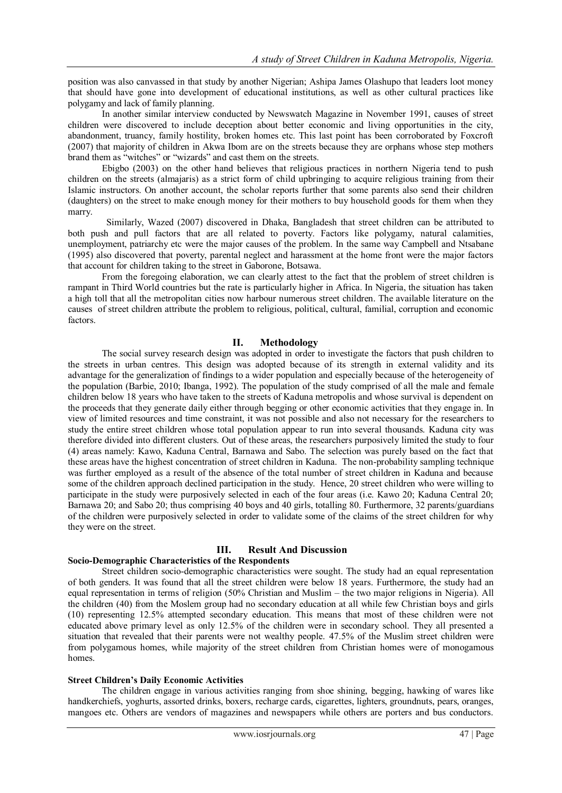position was also canvassed in that study by another Nigerian; Ashipa James Olashupo that leaders loot money that should have gone into development of educational institutions, as well as other cultural practices like polygamy and lack of family planning.

In another similar interview conducted by Newswatch Magazine in November 1991, causes of street children were discovered to include deception about better economic and living opportunities in the city, abandonment, truancy, family hostility, broken homes etc. This last point has been corroborated by Foxcroft (2007) that majority of children in Akwa Ibom are on the streets because they are orphans whose step mothers brand them as "witches" or "wizards" and cast them on the streets.

Ebigbo (2003) on the other hand believes that religious practices in northern Nigeria tend to push children on the streets (almajaris) as a strict form of child upbringing to acquire religious training from their Islamic instructors. On another account, the scholar reports further that some parents also send their children (daughters) on the street to make enough money for their mothers to buy household goods for them when they marry.

 Similarly, Wazed (2007) discovered in Dhaka, Bangladesh that street children can be attributed to both push and pull factors that are all related to poverty. Factors like polygamy, natural calamities, unemployment, patriarchy etc were the major causes of the problem. In the same way Campbell and Ntsabane (1995) also discovered that poverty, parental neglect and harassment at the home front were the major factors that account for children taking to the street in Gaborone, Botsawa.

From the foregoing elaboration, we can clearly attest to the fact that the problem of street children is rampant in Third World countries but the rate is particularly higher in Africa. In Nigeria, the situation has taken a high toll that all the metropolitan cities now harbour numerous street children. The available literature on the causes of street children attribute the problem to religious, political, cultural, familial, corruption and economic factors.

### **II. Methodology**

The social survey research design was adopted in order to investigate the factors that push children to the streets in urban centres. This design was adopted because of its strength in external validity and its advantage for the generalization of findings to a wider population and especially because of the heterogeneity of the population (Barbie, 2010; Ibanga, 1992). The population of the study comprised of all the male and female children below 18 years who have taken to the streets of Kaduna metropolis and whose survival is dependent on the proceeds that they generate daily either through begging or other economic activities that they engage in. In view of limited resources and time constraint, it was not possible and also not necessary for the researchers to study the entire street children whose total population appear to run into several thousands. Kaduna city was therefore divided into different clusters. Out of these areas, the researchers purposively limited the study to four (4) areas namely: Kawo, Kaduna Central, Barnawa and Sabo. The selection was purely based on the fact that these areas have the highest concentration of street children in Kaduna. The non-probability sampling technique was further employed as a result of the absence of the total number of street children in Kaduna and because some of the children approach declined participation in the study. Hence, 20 street children who were willing to participate in the study were purposively selected in each of the four areas (i.e. Kawo 20; Kaduna Central 20; Barnawa 20; and Sabo 20; thus comprising 40 boys and 40 girls, totalling 80. Furthermore, 32 parents/guardians of the children were purposively selected in order to validate some of the claims of the street children for why they were on the street.

### **III. Result And Discussion**

# **Socio-Demographic Characteristics of the Respondents**

Street children socio-demographic characteristics were sought. The study had an equal representation of both genders. It was found that all the street children were below 18 years. Furthermore, the study had an equal representation in terms of religion (50% Christian and Muslim – the two major religions in Nigeria). All the children (40) from the Moslem group had no secondary education at all while few Christian boys and girls (10) representing 12.5% attempted secondary education. This means that most of these children were not educated above primary level as only 12.5% of the children were in secondary school. They all presented a situation that revealed that their parents were not wealthy people. 47.5% of the Muslim street children were from polygamous homes, while majority of the street children from Christian homes were of monogamous homes.

### **Street Children's Daily Economic Activities**

The children engage in various activities ranging from shoe shining, begging, hawking of wares like handkerchiefs, yoghurts, assorted drinks, boxers, recharge cards, cigarettes, lighters, groundnuts, pears, oranges, mangoes etc. Others are vendors of magazines and newspapers while others are porters and bus conductors.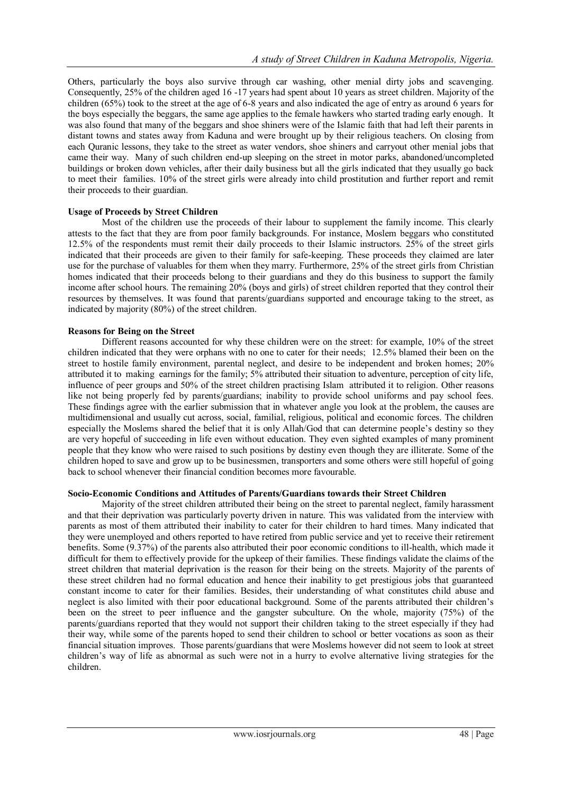Others, particularly the boys also survive through car washing, other menial dirty jobs and scavenging. Consequently, 25% of the children aged 16 -17 years had spent about 10 years as street children. Majority of the children (65%) took to the street at the age of 6-8 years and also indicated the age of entry as around 6 years for the boys especially the beggars, the same age applies to the female hawkers who started trading early enough. It was also found that many of the beggars and shoe shiners were of the Islamic faith that had left their parents in distant towns and states away from Kaduna and were brought up by their religious teachers. On closing from each Quranic lessons, they take to the street as water vendors, shoe shiners and carryout other menial jobs that came their way. Many of such children end-up sleeping on the street in motor parks, abandoned/uncompleted buildings or broken down vehicles, after their daily business but all the girls indicated that they usually go back to meet their families. 10% of the street girls were already into child prostitution and further report and remit their proceeds to their guardian.

# **Usage of Proceeds by Street Children**

Most of the children use the proceeds of their labour to supplement the family income. This clearly attests to the fact that they are from poor family backgrounds. For instance, Moslem beggars who constituted 12.5% of the respondents must remit their daily proceeds to their Islamic instructors. 25% of the street girls indicated that their proceeds are given to their family for safe-keeping. These proceeds they claimed are later use for the purchase of valuables for them when they marry. Furthermore, 25% of the street girls from Christian homes indicated that their proceeds belong to their guardians and they do this business to support the family income after school hours. The remaining 20% (boys and girls) of street children reported that they control their resources by themselves. It was found that parents/guardians supported and encourage taking to the street, as indicated by majority (80%) of the street children.

# **Reasons for Being on the Street**

Different reasons accounted for why these children were on the street: for example, 10% of the street children indicated that they were orphans with no one to cater for their needs; 12.5% blamed their been on the street to hostile family environment, parental neglect, and desire to be independent and broken homes; 20% attributed it to making earnings for the family; 5% attributed their situation to adventure, perception of city life, influence of peer groups and 50% of the street children practising Islam attributed it to religion. Other reasons like not being properly fed by parents/guardians; inability to provide school uniforms and pay school fees. These findings agree with the earlier submission that in whatever angle you look at the problem, the causes are multidimensional and usually cut across, social, familial, religious, political and economic forces. The children especially the Moslems shared the belief that it is only Allah/God that can determine people's destiny so they are very hopeful of succeeding in life even without education. They even sighted examples of many prominent people that they know who were raised to such positions by destiny even though they are illiterate. Some of the children hoped to save and grow up to be businessmen, transporters and some others were still hopeful of going back to school whenever their financial condition becomes more favourable.

### **Socio-Economic Conditions and Attitudes of Parents/Guardians towards their Street Children**

Majority of the street children attributed their being on the street to parental neglect, family harassment and that their deprivation was particularly poverty driven in nature. This was validated from the interview with parents as most of them attributed their inability to cater for their children to hard times. Many indicated that they were unemployed and others reported to have retired from public service and yet to receive their retirement benefits. Some (9.37%) of the parents also attributed their poor economic conditions to ill-health, which made it difficult for them to effectively provide for the upkeep of their families. These findings validate the claims of the street children that material deprivation is the reason for their being on the streets. Majority of the parents of these street children had no formal education and hence their inability to get prestigious jobs that guaranteed constant income to cater for their families. Besides, their understanding of what constitutes child abuse and neglect is also limited with their poor educational background. Some of the parents attributed their children's been on the street to peer influence and the gangster subculture. On the whole, majority (75%) of the parents/guardians reported that they would not support their children taking to the street especially if they had their way, while some of the parents hoped to send their children to school or better vocations as soon as their financial situation improves. Those parents/guardians that were Moslems however did not seem to look at street children's way of life as abnormal as such were not in a hurry to evolve alternative living strategies for the children.